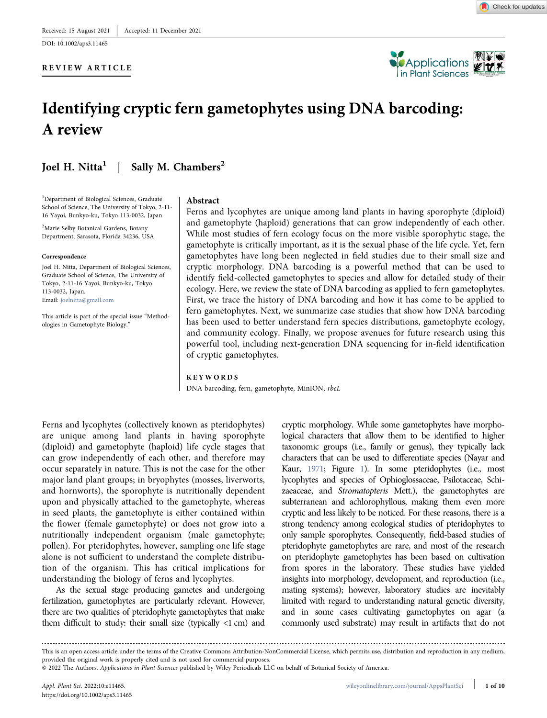DOI: 10.1002/aps3.11465

#### REVIEW ARTICLE





# Identifying cryptic fern gametophytes using DNA barcoding: A review

## Joel H. Nitta<sup>1</sup> | Sally M. Chambers<sup>2</sup>

<sup>1</sup>Department of Biological Sciences, Graduate School of Science, The University of Tokyo, 2‐11‐ 16 Yayoi, Bunkyo‐ku, Tokyo 113‐0032, Japan

<sup>2</sup>Marie Selby Botanical Gardens, Botany Department, Sarasota, Florida 34236, USA

#### Correspondence

Joel H. Nitta, Department of Biological Sciences, Graduate School of Science, The University of Tokyo, 2‐11‐16 Yayoi, Bunkyo‐ku, Tokyo 113‐0032, Japan. Email: [joelnitta@gmail.com](mailto:joelnitta@gmail.com)

This article is part of the special issue "Methodologies in Gametophyte Biology."

#### Abstract

Ferns and lycophytes are unique among land plants in having sporophyte (diploid) and gametophyte (haploid) generations that can grow independently of each other. While most studies of fern ecology focus on the more visible sporophytic stage, the gametophyte is critically important, as it is the sexual phase of the life cycle. Yet, fern gametophytes have long been neglected in field studies due to their small size and cryptic morphology. DNA barcoding is a powerful method that can be used to identify field‐collected gametophytes to species and allow for detailed study of their ecology. Here, we review the state of DNA barcoding as applied to fern gametophytes. First, we trace the history of DNA barcoding and how it has come to be applied to fern gametophytes. Next, we summarize case studies that show how DNA barcoding has been used to better understand fern species distributions, gametophyte ecology, and community ecology. Finally, we propose avenues for future research using this powerful tool, including next‐generation DNA sequencing for in‐field identification of cryptic gametophytes.

#### KEYWORDS

DNA barcoding, fern, gametophyte, MinION, rbcL

Ferns and lycophytes (collectively known as pteridophytes) are unique among land plants in having sporophyte (diploid) and gametophyte (haploid) life cycle stages that can grow independently of each other, and therefore may occur separately in nature. This is not the case for the other major land plant groups; in bryophytes (mosses, liverworts, and hornworts), the sporophyte is nutritionally dependent upon and physically attached to the gametophyte, whereas in seed plants, the gametophyte is either contained within the flower (female gametophyte) or does not grow into a nutritionally independent organism (male gametophyte; pollen). For pteridophytes, however, sampling one life stage alone is not sufficient to understand the complete distribution of the organism. This has critical implications for understanding the biology of ferns and lycophytes.

As the sexual stage producing gametes and undergoing fertilization, gametophytes are particularly relevant. However, there are two qualities of pteridophyte gametophytes that make them difficult to study: their small size (typically <1 cm) and cryptic morphology. While some gametophytes have morphological characters that allow them to be identified to higher taxonomic groups (i.e., family or genus), they typically lack characters that can be used to differentiate species (Nayar and Kaur, [1971;](#page-8-0) Figure [1\)](#page-1-0). In some pteridophytes (i.e., most lycophytes and species of Ophioglossaceae, Psilotaceae, Schizaeaceae, and Stromatopteris Mett.), the gametophytes are subterranean and achlorophyllous, making them even more cryptic and less likely to be noticed. For these reasons, there is a strong tendency among ecological studies of pteridophytes to only sample sporophytes. Consequently, field‐based studies of pteridophyte gametophytes are rare, and most of the research on pteridophyte gametophytes has been based on cultivation from spores in the laboratory. These studies have yielded insights into morphology, development, and reproduction (i.e., mating systems); however, laboratory studies are inevitably limited with regard to understanding natural genetic diversity, and in some cases cultivating gametophytes on agar (a commonly used substrate) may result in artifacts that do not

This is an open access article under the terms of the Creative Commons Attribution‐NonCommercial License, which permits use, distribution and reproduction in any medium, provided the original work is properly cited and is not used for commercial purposes. © 2022 The Authors. Applications in Plant Sciences published by Wiley Periodicals LLC on behalf of Botanical Society of America.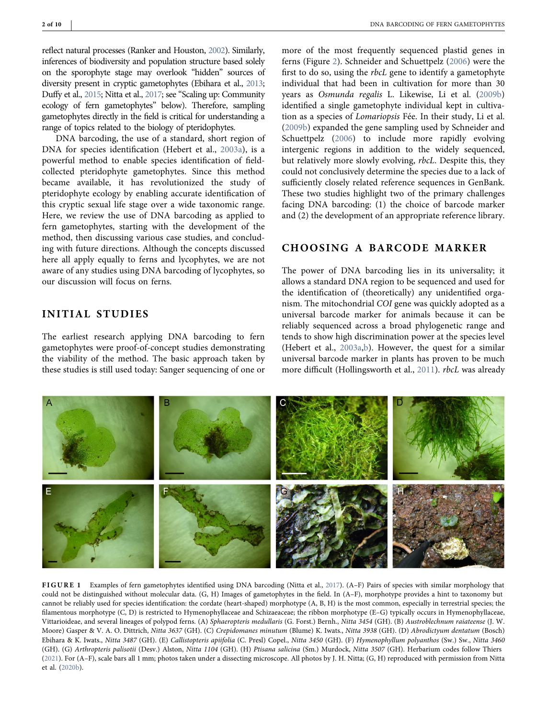reflect natural processes (Ranker and Houston, [2002\)](#page-9-0). Similarly, inferences of biodiversity and population structure based solely on the sporophyte stage may overlook "hidden" sources of diversity present in cryptic gametophytes (Ebihara et al., [2013](#page-7-0); Duffy et al., [2015;](#page-7-1) Nitta et al., [2017](#page-8-1); see "Scaling up: Community ecology of fern gametophytes" below). Therefore, sampling gametophytes directly in the field is critical for understanding a range of topics related to the biology of pteridophytes.

DNA barcoding, the use of a standard, short region of DNA for species identification (Hebert et al., [2003a\)](#page-8-2), is a powerful method to enable species identification of field‐ collected pteridophyte gametophytes. Since this method became available, it has revolutionized the study of pteridophyte ecology by enabling accurate identification of this cryptic sexual life stage over a wide taxonomic range. Here, we review the use of DNA barcoding as applied to fern gametophytes, starting with the development of the method, then discussing various case studies, and concluding with future directions. Although the concepts discussed here all apply equally to ferns and lycophytes, we are not aware of any studies using DNA barcoding of lycophytes, so our discussion will focus on ferns.

## INITIAL STUDIES

The earliest research applying DNA barcoding to fern gametophytes were proof‐of‐concept studies demonstrating the viability of the method. The basic approach taken by these studies is still used today: Sanger sequencing of one or

more of the most frequently sequenced plastid genes in ferns (Figure [2](#page-2-0)). Schneider and Schuettpelz [\(2006\)](#page-9-1) were the first to do so, using the rbcL gene to identify a gametophyte individual that had been in cultivation for more than 30 years as Osmunda regalis L. Likewise, Li et al. ([2009b](#page-8-3)) identified a single gametophyte individual kept in cultivation as a species of Lomariopsis Fée. In their study, Li et al. [\(2009b\)](#page-8-3) expanded the gene sampling used by Schneider and Schuettpelz ([2006\)](#page-9-1) to include more rapidly evolving intergenic regions in addition to the widely sequenced, but relatively more slowly evolving, rbcL. Despite this, they could not conclusively determine the species due to a lack of sufficiently closely related reference sequences in GenBank. These two studies highlight two of the primary challenges facing DNA barcoding: (1) the choice of barcode marker and (2) the development of an appropriate reference library.

## CHOOSING A BARCODE MARKER

The power of DNA barcoding lies in its universality; it allows a standard DNA region to be sequenced and used for the identification of (theoretically) any unidentified organism. The mitochondrial COI gene was quickly adopted as a universal barcode marker for animals because it can be reliably sequenced across a broad phylogenetic range and tends to show high discrimination power at the species level (Hebert et al., [2003a,](#page-8-2)[b](#page-8-4)). However, the quest for a similar universal barcode marker in plants has proven to be much more difficult (Hollingsworth et al., [2011](#page-8-5)). *rbcL* was already

<span id="page-1-0"></span>

FIGURE 1 Examples of fern gametophytes identified using DNA barcoding (Nitta et al., [2017\)](#page-8-1). (A-F) Pairs of species with similar morphology that could not be distinguished without molecular data. (G, H) Images of gametophytes in the field. In (A–F), morphotype provides a hint to taxonomy but cannot be reliably used for species identification: the cordate (heart‐shaped) morphotype (A, B, H) is the most common, especially in terrestrial species; the filamentous morphotype (C, D) is restricted to Hymenophyllaceae and Schizaeaceae; the ribbon morphotype (E–G) typically occurs in Hymenophyllaceae, Vittarioideae, and several lineages of polypod ferns. (A) Sphaeropteris medullaris (G. Forst.) Bernh., Nitta 3454 (GH). (B) Austroblechnum raiateense (J. W. Moore) Gasper & V. A. O. Dittrich, Nitta 3637 (GH). (C) Crepidomanes minutum (Blume) K. Iwats., Nitta 3938 (GH). (D) Abrodictyum dentatum (Bosch) Ebihara & K. Iwats., Nitta 3487 (GH). (E) Callistopteris apiifolia (C. Presl) Copel., Nitta 3450 (GH). (F) Hymenophyllum polyanthos (Sw.) Sw., Nitta 3460 (GH). (G) Arthropteris palisotii (Desv.) Alston, Nitta 1104 (GH). (H) Ptisana salicina (Sm.) Murdock, Nitta 3507 (GH). Herbarium codes follow Thiers [\(2021\)](#page-9-2). For (A–F), scale bars all 1 mm; photos taken under a dissecting microscope. All photos by J. H. Nitta; (G, H) reproduced with permission from Nitta et al. ([2020b](#page-8-6)).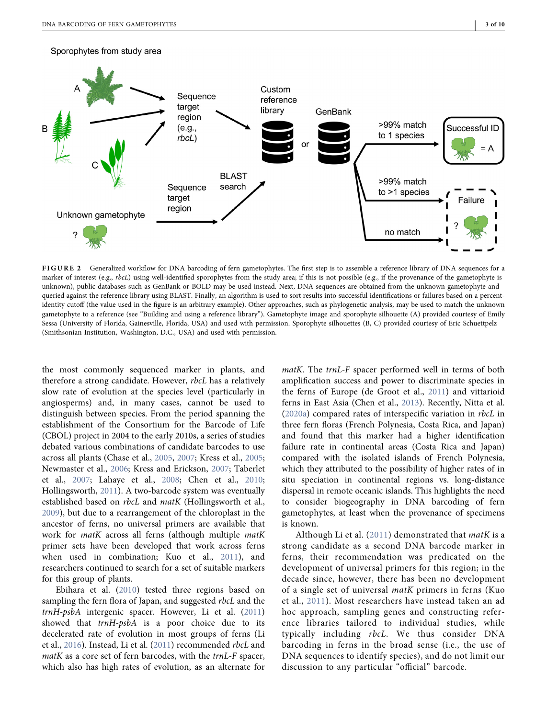#### <span id="page-2-0"></span>Sporophytes from study area



FIGURE 2 Generalized workflow for DNA barcoding of fern gametophytes. The first step is to assemble a reference library of DNA sequences for a marker of interest (e.g., rbcL) using well-identified sporophytes from the study area; if this is not possible (e.g., if the provenance of the gametophyte is unknown), public databases such as GenBank or BOLD may be used instead. Next, DNA sequences are obtained from the unknown gametophyte and queried against the reference library using BLAST. Finally, an algorithm is used to sort results into successful identifications or failures based on a percentidentity cutoff (the value used in the figure is an arbitrary example). Other approaches, such as phylogenetic analysis, may be used to match the unknown gametophyte to a reference (see "Building and using a reference library"). Gametophyte image and sporophyte silhouette (A) provided courtesy of Emily Sessa (University of Florida, Gainesville, Florida, USA) and used with permission. Sporophyte silhouettes (B, C) provided courtesy of Eric Schuettpelz (Smithsonian Institution, Washington, D.C., USA) and used with permission.

the most commonly sequenced marker in plants, and therefore a strong candidate. However, rbcL has a relatively slow rate of evolution at the species level (particularly in angiosperms) and, in many cases, cannot be used to distinguish between species. From the period spanning the establishment of the Consortium for the Barcode of Life (CBOL) project in 2004 to the early 2010s, a series of studies debated various combinations of candidate barcodes to use across all plants (Chase et al., [2005,](#page-7-2) [2007](#page-7-3); Kress et al., [2005](#page-8-7); Newmaster et al., [2006](#page-8-8); Kress and Erickson, [2007](#page-8-9); Taberlet et al., [2007](#page-9-3); Lahaye et al., [2008](#page-8-10); Chen et al., [2010](#page-7-4); Hollingsworth, [2011](#page-8-11)). A two-barcode system was eventually established based on *rbcL* and *matK* (Hollingsworth et al., [2009\)](#page-8-12), but due to a rearrangement of the chloroplast in the ancestor of ferns, no universal primers are available that work for *matK* across all ferns (although multiple *matK* primer sets have been developed that work across ferns when used in combination; Kuo et al., [2011](#page-8-13)), and researchers continued to search for a set of suitable markers for this group of plants.

Ebihara et al. [\(2010\)](#page-7-5) tested three regions based on sampling the fern flora of Japan, and suggested rbcL and the trnH‐psbA intergenic spacer. However, Li et al. ([2011\)](#page-8-14) showed that trnH-psbA is a poor choice due to its decelerated rate of evolution in most groups of ferns (Li et al., [2016\)](#page-8-15). Instead, Li et al. [\(2011](#page-8-14)) recommended rbcL and matK as a core set of fern barcodes, with the trnL-F spacer, which also has high rates of evolution, as an alternate for

*matK*. The *trnL*-F spacer performed well in terms of both amplification success and power to discriminate species in the ferns of Europe (de Groot et al., [2011](#page-7-6)) and vittarioid ferns in East Asia (Chen et al., [2013](#page-7-7)). Recently, Nitta et al. [\(2020a\)](#page-8-16) compared rates of interspecific variation in rbcL in three fern floras (French Polynesia, Costa Rica, and Japan) and found that this marker had a higher identification failure rate in continental areas (Costa Rica and Japan) compared with the isolated islands of French Polynesia, which they attributed to the possibility of higher rates of in situ speciation in continental regions vs. long‐distance dispersal in remote oceanic islands. This highlights the need to consider biogeography in DNA barcoding of fern gametophytes, at least when the provenance of specimens is known.

Although Li et al.  $(2011)$  demonstrated that *matK* is a strong candidate as a second DNA barcode marker in ferns, their recommendation was predicated on the development of universal primers for this region; in the decade since, however, there has been no development of a single set of universal matK primers in ferns (Kuo et al., [2011\)](#page-8-13). Most researchers have instead taken an ad hoc approach, sampling genes and constructing reference libraries tailored to individual studies, while typically including rbcL. We thus consider DNA barcoding in ferns in the broad sense (i.e., the use of DNA sequences to identify species), and do not limit our discussion to any particular "official" barcode.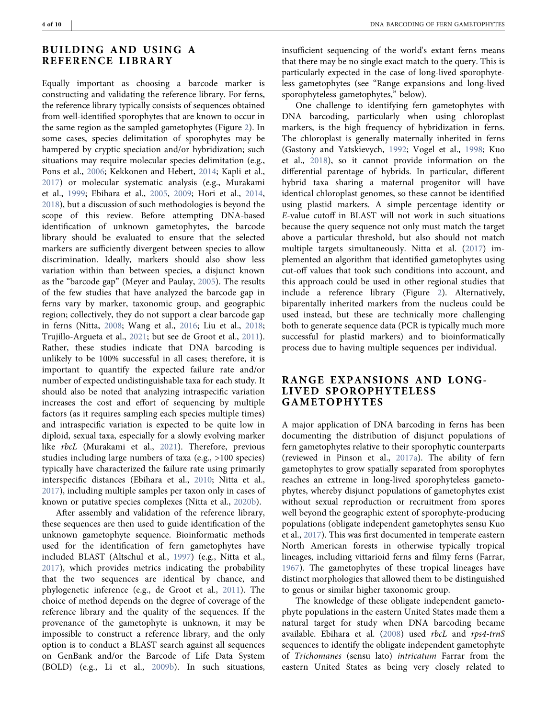## BUILDING AND USING A REFERENCE LIBRARY

Equally important as choosing a barcode marker is constructing and validating the reference library. For ferns, the reference library typically consists of sequences obtained from well-identified sporophytes that are known to occur in the same region as the sampled gametophytes (Figure [2](#page-2-0)). In some cases, species delimitation of sporophytes may be hampered by cryptic speciation and/or hybridization; such situations may require molecular species delimitation (e.g., Pons et al., [2006;](#page-9-4) Kekkonen and Hebert, [2014;](#page-8-17) Kapli et al., [2017\)](#page-8-18) or molecular systematic analysis (e.g., Murakami et al., [1999;](#page-8-19) Ebihara et al., [2005](#page-7-8), [2009;](#page-7-9) Hori et al., [2014](#page-8-20), [2018\)](#page-8-21), but a discussion of such methodologies is beyond the scope of this review. Before attempting DNA‐based identification of unknown gametophytes, the barcode library should be evaluated to ensure that the selected markers are sufficiently divergent between species to allow discrimination. Ideally, markers should also show less variation within than between species, a disjunct known as the "barcode gap" (Meyer and Paulay, [2005\)](#page-8-22). The results of the few studies that have analyzed the barcode gap in ferns vary by marker, taxonomic group, and geographic region; collectively, they do not support a clear barcode gap in ferns (Nitta, [2008;](#page-8-23) Wang et al., [2016;](#page-9-5) Liu et al., [2018](#page-8-24); Trujillo‐Argueta et al., [2021;](#page-9-6) but see de Groot et al., [2011\)](#page-7-6). Rather, these studies indicate that DNA barcoding is unlikely to be 100% successful in all cases; therefore, it is important to quantify the expected failure rate and/or number of expected undistinguishable taxa for each study. It should also be noted that analyzing intraspecific variation increases the cost and effort of sequencing by multiple factors (as it requires sampling each species multiple times) and intraspecific variation is expected to be quite low in diploid, sexual taxa, especially for a slowly evolving marker like rbcL (Murakami et al., [2021](#page-8-25)). Therefore, previous studies including large numbers of taxa (e.g., >100 species) typically have characterized the failure rate using primarily interspecific distances (Ebihara et al., [2010;](#page-7-5) Nitta et al., [2017\)](#page-8-1), including multiple samples per taxon only in cases of known or putative species complexes (Nitta et al., [2020b\)](#page-8-6).

After assembly and validation of the reference library, these sequences are then used to guide identification of the unknown gametophyte sequence. Bioinformatic methods used for the identification of fern gametophytes have included BLAST (Altschul et al., [1997\)](#page-7-10) (e.g., Nitta et al., [2017\)](#page-8-1), which provides metrics indicating the probability that the two sequences are identical by chance, and phylogenetic inference (e.g., de Groot et al., [2011\)](#page-7-6). The choice of method depends on the degree of coverage of the reference library and the quality of the sequences. If the provenance of the gametophyte is unknown, it may be impossible to construct a reference library, and the only option is to conduct a BLAST search against all sequences on GenBank and/or the Barcode of Life Data System (BOLD) (e.g., Li et al., [2009b\)](#page-8-3). In such situations,

insufficient sequencing of the world's extant ferns means that there may be no single exact match to the query. This is particularly expected in the case of long‐lived sporophyteless gametophytes (see "Range expansions and long‐lived sporophyteless gametophytes," below).

One challenge to identifying fern gametophytes with DNA barcoding, particularly when using chloroplast markers, is the high frequency of hybridization in ferns. The chloroplast is generally maternally inherited in ferns (Gastony and Yatskievych, [1992;](#page-8-26) Vogel et al., [1998](#page-9-7); Kuo et al., [2018\)](#page-8-27), so it cannot provide information on the differential parentage of hybrids. In particular, different hybrid taxa sharing a maternal progenitor will have identical chloroplast genomes, so these cannot be identified using plastid markers. A simple percentage identity or E‐value cutoff in BLAST will not work in such situations because the query sequence not only must match the target above a particular threshold, but also should not match multiple targets simultaneously. Nitta et al. ([2017\)](#page-8-1) implemented an algorithm that identified gametophytes using cut‐off values that took such conditions into account, and this approach could be used in other regional studies that include a reference library (Figure [2](#page-2-0)). Alternatively, biparentally inherited markers from the nucleus could be used instead, but these are technically more challenging both to generate sequence data (PCR is typically much more successful for plastid markers) and to bioinformatically process due to having multiple sequences per individual.

## RANGE EXPANSIONS AND LONG‐ LIVED SPOROPHYTELESS GAMETOPHYTES

A major application of DNA barcoding in ferns has been documenting the distribution of disjunct populations of fern gametophytes relative to their sporophytic counterparts (reviewed in Pinson et al., [2017a\)](#page-9-8). The ability of fern gametophytes to grow spatially separated from sporophytes reaches an extreme in long‐lived sporophyteless gametophytes, whereby disjunct populations of gametophytes exist without sexual reproduction or recruitment from spores well beyond the geographic extent of sporophyte‐producing populations (obligate independent gametophytes sensu Kuo et al., [2017\)](#page-8-28). This was first documented in temperate eastern North American forests in otherwise typically tropical lineages, including vittarioid ferns and filmy ferns (Farrar, [1967](#page-8-29)). The gametophytes of these tropical lineages have distinct morphologies that allowed them to be distinguished to genus or similar higher taxonomic group.

The knowledge of these obligate independent gametophyte populations in the eastern United States made them a natural target for study when DNA barcoding became available. Ebihara et al. [\(2008](#page-7-11)) used rbcL and rps4‐trnS sequences to identify the obligate independent gametophyte of Trichomanes (sensu lato) intricatum Farrar from the eastern United States as being very closely related to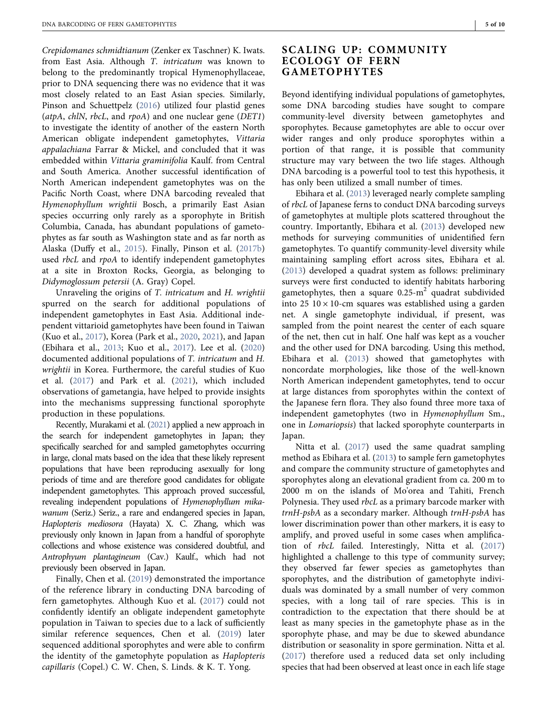Crepidomanes schmidtianum (Zenker ex Taschner) K. Iwats. from East Asia. Although T. intricatum was known to belong to the predominantly tropical Hymenophyllaceae, prior to DNA sequencing there was no evidence that it was most closely related to an East Asian species. Similarly, Pinson and Schuettpelz ([2016\)](#page-9-9) utilized four plastid genes (atpA, chlN, rbcL, and rpoA) and one nuclear gene ( $DET1$ ) to investigate the identity of another of the eastern North American obligate independent gametophytes, Vittaria appalachiana Farrar & Mickel, and concluded that it was embedded within Vittaria graminifolia Kaulf. from Central and South America. Another successful identification of North American independent gametophytes was on the Pacific North Coast, where DNA barcoding revealed that Hymenophyllum wrightii Bosch, a primarily East Asian species occurring only rarely as a sporophyte in British Columbia, Canada, has abundant populations of gametophytes as far south as Washington state and as far north as Alaska (Duffy et al., [2015\)](#page-7-1). Finally, Pinson et al. ([2017b\)](#page-9-10) used *rbcL* and *rpoA* to identify independent gametophytes at a site in Broxton Rocks, Georgia, as belonging to Didymoglossum petersii (A. Gray) Copel.

Unraveling the origins of T. intricatum and H. wrightii spurred on the search for additional populations of independent gametophytes in East Asia. Additional independent vittarioid gametophytes have been found in Taiwan (Kuo et al., [2017](#page-8-28)), Korea (Park et al., [2020](#page-9-11), [2021](#page-9-12)), and Japan (Ebihara et al., [2013](#page-7-0); Kuo et al., [2017\)](#page-8-28). Lee et al. ([2020\)](#page-8-30) documented additional populations of T. intricatum and H. wrightii in Korea. Furthermore, the careful studies of Kuo et al. [\(2017\)](#page-8-28) and Park et al. [\(2021](#page-9-12)), which included observations of gametangia, have helped to provide insights into the mechanisms suppressing functional sporophyte production in these populations.

Recently, Murakami et al. [\(2021\)](#page-8-25) applied a new approach in the search for independent gametophytes in Japan; they specifically searched for and sampled gametophytes occurring in large, clonal mats based on the idea that these likely represent populations that have been reproducing asexually for long periods of time and are therefore good candidates for obligate independent gametophytes. This approach proved successful, revealing independent populations of Hymenophyllum mikawanum (Seriz.) Seriz., a rare and endangered species in Japan, Haplopteris mediosora (Hayata) X. C. Zhang, which was previously only known in Japan from a handful of sporophyte collections and whose existence was considered doubtful, and Antrophyum plantagineum (Cav.) Kaulf., which had not previously been observed in Japan.

Finally, Chen et al. ([2019](#page-7-12)) demonstrated the importance of the reference library in conducting DNA barcoding of fern gametophytes. Although Kuo et al. [\(2017](#page-8-28)) could not confidently identify an obligate independent gametophyte population in Taiwan to species due to a lack of sufficiently similar reference sequences, Chen et al. [\(2019](#page-7-12)) later sequenced additional sporophytes and were able to confirm the identity of the gametophyte population as Haplopteris capillaris (Copel.) C. W. Chen, S. Linds. & K. T. Yong.

## SCALING UP: COMMUNITY ECOLOGY OF FERN GAMETOPHYTES

Beyond identifying individual populations of gametophytes, some DNA barcoding studies have sought to compare community‐level diversity between gametophytes and sporophytes. Because gametophytes are able to occur over wider ranges and only produce sporophytes within a portion of that range, it is possible that community structure may vary between the two life stages. Although DNA barcoding is a powerful tool to test this hypothesis, it has only been utilized a small number of times.

Ebihara et al. ([2013\)](#page-7-0) leveraged nearly complete sampling of rbcL of Japanese ferns to conduct DNA barcoding surveys of gametophytes at multiple plots scattered throughout the country. Importantly, Ebihara et al. ([2013](#page-7-0)) developed new methods for surveying communities of unidentified fern gametophytes. To quantify community‐level diversity while maintaining sampling effort across sites, Ebihara et al. [\(2013](#page-7-0)) developed a quadrat system as follows: preliminary surveys were first conducted to identify habitats harboring gametophytes, then a square  $0.25 \text{--} m^2$  quadrat subdivided into 25  $10 \times 10$ -cm squares was established using a garden net. A single gametophyte individual, if present, was sampled from the point nearest the center of each square of the net, then cut in half. One half was kept as a voucher and the other used for DNA barcoding. Using this method, Ebihara et al. ([2013](#page-7-0)) showed that gametophytes with noncordate morphologies, like those of the well‐known North American independent gametophytes, tend to occur at large distances from sporophytes within the context of the Japanese fern flora. They also found three more taxa of independent gametophytes (two in Hymenophyllum Sm., one in Lomariopsis) that lacked sporophyte counterparts in Japan.

Nitta et al. [\(2017](#page-8-1)) used the same quadrat sampling method as Ebihara et al. [\(2013](#page-7-0)) to sample fern gametophytes and compare the community structure of gametophytes and sporophytes along an elevational gradient from ca. 200 m to 2000 m on the islands of Mo'orea and Tahiti, French Polynesia. They used *rbcL* as a primary barcode marker with trnH‐psbA as a secondary marker. Although trnH‐psbA has lower discrimination power than other markers, it is easy to amplify, and proved useful in some cases when amplification of rbcL failed. Interestingly, Nitta et al. ([2017](#page-8-1)) highlighted a challenge to this type of community survey; they observed far fewer species as gametophytes than sporophytes, and the distribution of gametophyte individuals was dominated by a small number of very common species, with a long tail of rare species. This is in contradiction to the expectation that there should be at least as many species in the gametophyte phase as in the sporophyte phase, and may be due to skewed abundance distribution or seasonality in spore germination. Nitta et al. [\(2017](#page-8-1)) therefore used a reduced data set only including species that had been observed at least once in each life stage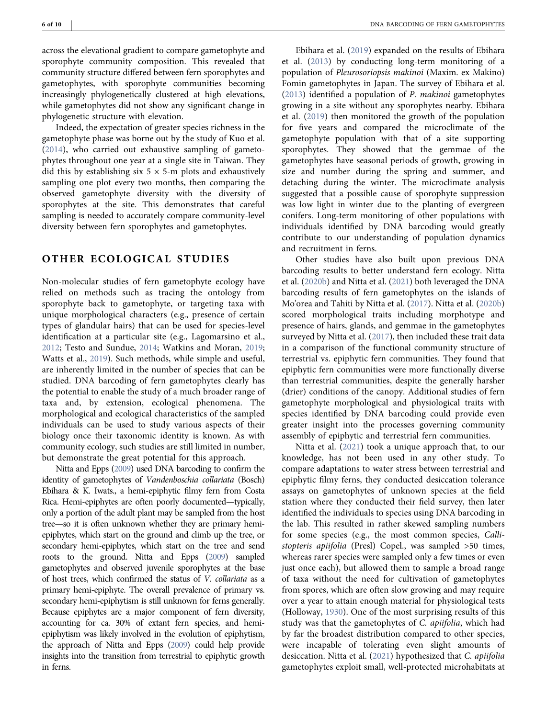across the elevational gradient to compare gametophyte and sporophyte community composition. This revealed that community structure differed between fern sporophytes and gametophytes, with sporophyte communities becoming increasingly phylogenetically clustered at high elevations, while gametophytes did not show any significant change in phylogenetic structure with elevation.

Indeed, the expectation of greater species richness in the gametophyte phase was borne out by the study of Kuo et al. [\(2014](#page-8-31)), who carried out exhaustive sampling of gametophytes throughout one year at a single site in Taiwan. They did this by establishing six  $5 \times 5$ -m plots and exhaustively sampling one plot every two months, then comparing the observed gametophyte diversity with the diversity of sporophytes at the site. This demonstrates that careful sampling is needed to accurately compare community-level diversity between fern sporophytes and gametophytes.

## OTHER ECOLOGICAL STUDIES

Non‐molecular studies of fern gametophyte ecology have relied on methods such as tracing the ontology from sporophyte back to gametophyte, or targeting taxa with unique morphological characters (e.g., presence of certain types of glandular hairs) that can be used for species‐level identification at a particular site (e.g., Lagomarsino et al., [2012;](#page-8-32) Testo and Sundue, [2014](#page-9-13); Watkins and Moran, [2019](#page-9-14); Watts et al., [2019](#page-9-15)). Such methods, while simple and useful, are inherently limited in the number of species that can be studied. DNA barcoding of fern gametophytes clearly has the potential to enable the study of a much broader range of taxa and, by extension, ecological phenomena. The morphological and ecological characteristics of the sampled individuals can be used to study various aspects of their biology once their taxonomic identity is known. As with community ecology, such studies are still limited in number, but demonstrate the great potential for this approach.

Nitta and Epps [\(2009](#page-8-33)) used DNA barcoding to confirm the identity of gametophytes of Vandenboschia collariata (Bosch) Ebihara & K. Iwats., a hemi‐epiphytic filmy fern from Costa Rica. Hemi‐epiphytes are often poorly documented—typically, only a portion of the adult plant may be sampled from the host tree—so it is often unknown whether they are primary hemiepiphytes, which start on the ground and climb up the tree, or secondary hemi-epiphytes, which start on the tree and send roots to the ground. Nitta and Epps [\(2009](#page-8-33)) sampled gametophytes and observed juvenile sporophytes at the base of host trees, which confirmed the status of V. collariata as a primary hemi‐epiphyte. The overall prevalence of primary vs. secondary hemi-epiphytism is still unknown for ferns generally. Because epiphytes are a major component of fern diversity, accounting for ca. 30% of extant fern species, and hemi‐ epiphytism was likely involved in the evolution of epiphytism, the approach of Nitta and Epps [\(2009\)](#page-8-33) could help provide insights into the transition from terrestrial to epiphytic growth in ferns.

Ebihara et al. ([2019](#page-7-13)) expanded on the results of Ebihara et al. [\(2013\)](#page-7-0) by conducting long‐term monitoring of a population of Pleurosoriopsis makinoi (Maxim. ex Makino) Fomin gametophytes in Japan. The survey of Ebihara et al. [\(2013](#page-7-0)) identified a population of P. makinoi gametophytes growing in a site without any sporophytes nearby. Ebihara et al. [\(2019](#page-7-13)) then monitored the growth of the population for five years and compared the microclimate of the gametophyte population with that of a site supporting sporophytes. They showed that the gemmae of the gametophytes have seasonal periods of growth, growing in size and number during the spring and summer, and detaching during the winter. The microclimate analysis suggested that a possible cause of sporophyte suppression was low light in winter due to the planting of evergreen conifers. Long‐term monitoring of other populations with individuals identified by DNA barcoding would greatly contribute to our understanding of population dynamics and recruitment in ferns.

Other studies have also built upon previous DNA barcoding results to better understand fern ecology. Nitta et al. ([2020b\)](#page-8-6) and Nitta et al. ([2021\)](#page-9-16) both leveraged the DNA barcoding results of fern gametophytes on the islands of Mo'orea and Tahiti by Nitta et al. ([2017\)](#page-8-1). Nitta et al. ([2020b](#page-8-6)) scored morphological traits including morphotype and presence of hairs, glands, and gemmae in the gametophytes surveyed by Nitta et al. ([2017](#page-8-1)), then included these trait data in a comparison of the functional community structure of terrestrial vs. epiphytic fern communities. They found that epiphytic fern communities were more functionally diverse than terrestrial communities, despite the generally harsher (drier) conditions of the canopy. Additional studies of fern gametophyte morphological and physiological traits with species identified by DNA barcoding could provide even greater insight into the processes governing community assembly of epiphytic and terrestrial fern communities.

Nitta et al. [\(2021](#page-9-16)) took a unique approach that, to our knowledge, has not been used in any other study. To compare adaptations to water stress between terrestrial and epiphytic filmy ferns, they conducted desiccation tolerance assays on gametophytes of unknown species at the field station where they conducted their field survey, then later identified the individuals to species using DNA barcoding in the lab. This resulted in rather skewed sampling numbers for some species (e.g., the most common species, Callistopteris apiifolia (Presl) Copel., was sampled >50 times, whereas rarer species were sampled only a few times or even just once each), but allowed them to sample a broad range of taxa without the need for cultivation of gametophytes from spores, which are often slow growing and may require over a year to attain enough material for physiological tests (Holloway, [1930](#page-8-34)). One of the most surprising results of this study was that the gametophytes of C. apiifolia, which had by far the broadest distribution compared to other species, were incapable of tolerating even slight amounts of desiccation. Nitta et al. ([2021\)](#page-9-16) hypothesized that C. apiifolia gametophytes exploit small, well‐protected microhabitats at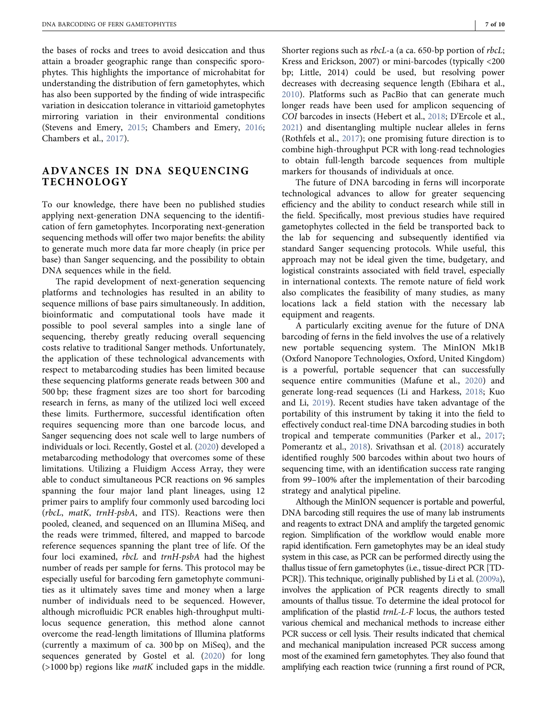the bases of rocks and trees to avoid desiccation and thus attain a broader geographic range than conspecific sporophytes. This highlights the importance of microhabitat for understanding the distribution of fern gametophytes, which has also been supported by the finding of wide intraspecific variation in desiccation tolerance in vittarioid gametophytes mirroring variation in their environmental conditions (Stevens and Emery, [2015](#page-9-17); Chambers and Emery, [2016](#page-7-14); Chambers et al., [2017\)](#page-7-15).

## ADVANCES IN DNA SEQUENCING TECHNOLOGY

To our knowledge, there have been no published studies applying next‐generation DNA sequencing to the identification of fern gametophytes. Incorporating next‐generation sequencing methods will offer two major benefits: the ability to generate much more data far more cheaply (in price per base) than Sanger sequencing, and the possibility to obtain DNA sequences while in the field.

The rapid development of next-generation sequencing platforms and technologies has resulted in an ability to sequence millions of base pairs simultaneously. In addition, bioinformatic and computational tools have made it possible to pool several samples into a single lane of sequencing, thereby greatly reducing overall sequencing costs relative to traditional Sanger methods. Unfortunately, the application of these technological advancements with respect to metabarcoding studies has been limited because these sequencing platforms generate reads between 300 and 500 bp; these fragment sizes are too short for barcoding research in ferns, as many of the utilized loci well exceed these limits. Furthermore, successful identification often requires sequencing more than one barcode locus, and Sanger sequencing does not scale well to large numbers of individuals or loci. Recently, Gostel et al. ([2020\)](#page-8-35) developed a metabarcoding methodology that overcomes some of these limitations. Utilizing a Fluidigm Access Array, they were able to conduct simultaneous PCR reactions on 96 samples spanning the four major land plant lineages, using 12 primer pairs to amplify four commonly used barcoding loci (rbcL, matK, trnH‐psbA, and ITS). Reactions were then pooled, cleaned, and sequenced on an Illumina MiSeq, and the reads were trimmed, filtered, and mapped to barcode reference sequences spanning the plant tree of life. Of the four loci examined, *rbcL* and trnH-psbA had the highest number of reads per sample for ferns. This protocol may be especially useful for barcoding fern gametophyte communities as it ultimately saves time and money when a large number of individuals need to be sequenced. However, although microfluidic PCR enables high‐throughput multi‐ locus sequence generation, this method alone cannot overcome the read‐length limitations of Illumina platforms (currently a maximum of ca. 300 bp on MiSeq), and the sequences generated by Gostel et al. [\(2020\)](#page-8-35) for long  $($ >1000 bp) regions like *matK* included gaps in the middle.

Shorter regions such as *rbcL*-a (a ca. 650-bp portion of *rbcL*; Kress and Erickson, 2007) or mini‐barcodes (typically <200 bp; Little, 2014) could be used, but resolving power decreases with decreasing sequence length (Ebihara et al., [2010](#page-7-5)). Platforms such as PacBio that can generate much longer reads have been used for amplicon sequencing of COI barcodes in insects (Hebert et al., [2018](#page-8-36); D'Ercole et al., [2021](#page-7-16)) and disentangling multiple nuclear alleles in ferns (Rothfels et al., [2017\)](#page-9-18); one promising future direction is to combine high‐throughput PCR with long‐read technologies to obtain full‐length barcode sequences from multiple markers for thousands of individuals at once.

The future of DNA barcoding in ferns will incorporate technological advances to allow for greater sequencing efficiency and the ability to conduct research while still in the field. Specifically, most previous studies have required gametophytes collected in the field be transported back to the lab for sequencing and subsequently identified via standard Sanger sequencing protocols. While useful, this approach may not be ideal given the time, budgetary, and logistical constraints associated with field travel, especially in international contexts. The remote nature of field work also complicates the feasibility of many studies, as many locations lack a field station with the necessary lab equipment and reagents.

A particularly exciting avenue for the future of DNA barcoding of ferns in the field involves the use of a relatively new portable sequencing system. The MinION Mk1B (Oxford Nanopore Technologies, Oxford, United Kingdom) is a powerful, portable sequencer that can successfully sequence entire communities (Mafune et al., [2020](#page-8-37)) and generate long‐read sequences (Li and Harkess, [2018;](#page-8-38) Kuo and Li, [2019](#page-8-39)). Recent studies have taken advantage of the portability of this instrument by taking it into the field to effectively conduct real‐time DNA barcoding studies in both tropical and temperate communities (Parker et al., [2017](#page-9-19); Pomerantz et al., [2018\)](#page-9-20). Srivathsan et al. ([2018\)](#page-9-21) accurately identified roughly 500 barcodes within about two hours of sequencing time, with an identification success rate ranging from 99–100% after the implementation of their barcoding strategy and analytical pipeline.

Although the MinION sequencer is portable and powerful, DNA barcoding still requires the use of many lab instruments and reagents to extract DNA and amplify the targeted genomic region. Simplification of the workflow would enable more rapid identification. Fern gametophytes may be an ideal study system in this case, as PCR can be performed directly using the thallus tissue of fern gametophytes (i.e., tissue‐direct PCR [TD‐ PCR]). This technique, originally published by Li et al. ([2009a](#page-8-40)), involves the application of PCR reagents directly to small amounts of thallus tissue. To determine the ideal protocol for amplification of the plastid *trnL-L-F* locus, the authors tested various chemical and mechanical methods to increase either PCR success or cell lysis. Their results indicated that chemical and mechanical manipulation increased PCR success among most of the examined fern gametophytes. They also found that amplifying each reaction twice (running a first round of PCR,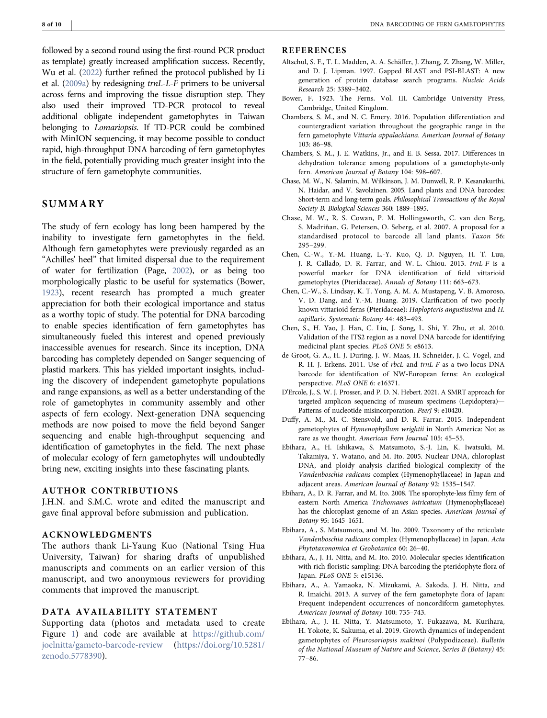followed by a second round using the first‐round PCR product as template) greatly increased amplification success. Recently, Wu et al. [\(2022\)](#page-9-22) further refined the protocol published by Li et al. [\(2009a\)](#page-8-40) by redesigning trnL‐L‐F primers to be universal across ferns and improving the tissue disruption step. They also used their improved TD‐PCR protocol to reveal additional obligate independent gametophytes in Taiwan belonging to *Lomariopsis*. If TD-PCR could be combined with MinION sequencing, it may become possible to conduct rapid, high-throughput DNA barcoding of fern gametophytes in the field, potentially providing much greater insight into the structure of fern gametophyte communities.

## SUMMARY

The study of fern ecology has long been hampered by the inability to investigate fern gametophytes in the field. Although fern gametophytes were previously regarded as an "Achilles' heel" that limited dispersal due to the requirement of water for fertilization (Page, [2002](#page-9-23)), or as being too morphologically plastic to be useful for systematics (Bower, [1923](#page-7-17)), recent research has prompted a much greater appreciation for both their ecological importance and status as a worthy topic of study. The potential for DNA barcoding to enable species identification of fern gametophytes has simultaneously fueled this interest and opened previously inaccessible avenues for research. Since its inception, DNA barcoding has completely depended on Sanger sequencing of plastid markers. This has yielded important insights, including the discovery of independent gametophyte populations and range expansions, as well as a better understanding of the role of gametophytes in community assembly and other aspects of fern ecology. Next‐generation DNA sequencing methods are now poised to move the field beyond Sanger sequencing and enable high-throughput sequencing and identification of gametophytes in the field. The next phase of molecular ecology of fern gametophytes will undoubtedly bring new, exciting insights into these fascinating plants.

#### AUTHOR CONTRIBUTIONS

J.H.N. and S.M.C. wrote and edited the manuscript and gave final approval before submission and publication.

#### ACKNOWLEDGMENTS

The authors thank Li‐Yaung Kuo (National Tsing Hua University, Taiwan) for sharing drafts of unpublished manuscripts and comments on an earlier version of this manuscript, and two anonymous reviewers for providing comments that improved the manuscript.

#### DATA AVAILABILITY STATEMENT

Supporting data (photos and metadata used to create Figure [1](#page-1-0)) and code are available at [https://github.com/](https://github.com/joelnitta/gameto-barcode-review) [joelnitta/gameto](https://github.com/joelnitta/gameto-barcode-review)‐barcode‐review ([https://doi.org/10.5281/](https://doi.org/10.5281/zenodo.5778390) [zenodo.5778390\)](https://doi.org/10.5281/zenodo.5778390).

#### **REFERENCES**

- <span id="page-7-10"></span>Altschul, S. F., T. L. Madden, A. A. Schäffer, J. Zhang, Z. Zhang, W. Miller, and D. J. Lipman. 1997. Gapped BLAST and PSI‐BLAST: A new generation of protein database search programs. Nucleic Acids Research 25: 3389–3402.
- <span id="page-7-17"></span>Bower, F. 1923. The Ferns. Vol. III. Cambridge University Press, Cambridge, United Kingdom.
- <span id="page-7-14"></span>Chambers, S. M., and N. C. Emery. 2016. Population differentiation and countergradient variation throughout the geographic range in the fern gametophyte Vittaria appalachiana. American Journal of Botany 103: 86–98.
- <span id="page-7-15"></span>Chambers, S. M., J. E. Watkins, Jr., and E. B. Sessa. 2017. Differences in dehydration tolerance among populations of a gametophyte-only fern. American Journal of Botany 104: 598–607.
- <span id="page-7-2"></span>Chase, M. W., N. Salamin, M. Wilkinson, J. M. Dunwell, R. P. Kesanakurthi, N. Haidar, and V. Savolainen. 2005. Land plants and DNA barcodes: Short-term and long-term goals. Philosophical Transactions of the Royal Society B: Biological Sciences 360: 1889–1895.
- <span id="page-7-3"></span>Chase, M. W., R. S. Cowan, P. M. Hollingsworth, C. van den Berg, S. Madriñan, G. Petersen, O. Seberg, et al. 2007. A proposal for a standardised protocol to barcode all land plants. Taxon 56: 295–299.
- <span id="page-7-7"></span>Chen, C.‐W., Y.‐M. Huang, L.‐Y. Kuo, Q. D. Nguyen, H. T. Luu, J. R. Callado, D. R. Farrar, and W.‐L. Chiou. 2013. trnL‐F is a powerful marker for DNA identification of field vittarioid gametophytes (Pteridaceae). Annals of Botany 111: 663–673.
- <span id="page-7-12"></span>Chen, C.‐W., S. Lindsay, K. T. Yong, A. M. A. Mustapeng, V. B. Amoroso, V. D. Dang, and Y.‐M. Huang. 2019. Clarification of two poorly known vittarioid ferns (Pteridaceae): Haplopteris angustissima and H. capillaris. Systematic Botany 44: 483–493.
- <span id="page-7-4"></span>Chen, S., H. Yao, J. Han, C. Liu, J. Song, L. Shi, Y. Zhu, et al. 2010. Validation of the ITS2 region as a novel DNA barcode for identifying medicinal plant species. PLoS ONE 5: e8613.
- <span id="page-7-6"></span>de Groot, G. A., H. J. During, J. W. Maas, H. Schneider, J. C. Vogel, and R. H. J. Erkens. 2011. Use of rbcL and trnL-F as a two-locus DNA barcode for identification of NW‐European ferns: An ecological perspective. PLoS ONE 6: e16371.
- <span id="page-7-16"></span>D'Ercole, J., S. W. J. Prosser, and P. D. N. Hebert. 2021. A SMRT approach for targeted amplicon sequencing of museum specimens (Lepidoptera)— Patterns of nucleotide misincorporation. PeerJ 9: e10420.
- <span id="page-7-1"></span>Duffy, A. M., M. C. Stensvold, and D. R. Farrar. 2015. Independent gametophytes of Hymenophyllum wrightii in North America: Not as rare as we thought. American Fern Journal 105: 45–55.
- <span id="page-7-8"></span>Ebihara, A., H. Ishikawa, S. Matsumoto, S.‐J. Lin, K. Iwatsuki, M. Takamiya, Y. Watano, and M. Ito. 2005. Nuclear DNA, chloroplast DNA, and ploidy analysis clarified biological complexity of the Vandenboschia radicans complex (Hymenophyllaceae) in Japan and adjacent areas. American Journal of Botany 92: 1535–1547.
- <span id="page-7-11"></span>Ebihara, A., D. R. Farrar, and M. Ito. 2008. The sporophyte‐less filmy fern of eastern North America Trichomanes intricatum (Hymenophyllaceae) has the chloroplast genome of an Asian species. American Journal of Botany 95: 1645–1651.
- <span id="page-7-9"></span>Ebihara, A., S. Matsumoto, and M. Ito. 2009. Taxonomy of the reticulate Vandenboschia radicans complex (Hymenophyllaceae) in Japan. Acta Phytotaxonomica et Geobotanica 60: 26–40.
- <span id="page-7-5"></span>Ebihara, A., J. H. Nitta, and M. Ito. 2010. Molecular species identification with rich floristic sampling: DNA barcoding the pteridophyte flora of Japan. PLoS ONE 5: e15136.
- <span id="page-7-0"></span>Ebihara, A., A. Yamaoka, N. Mizukami, A. Sakoda, J. H. Nitta, and R. Imaichi. 2013. A survey of the fern gametophyte flora of Japan: Frequent independent occurrences of noncordiform gametophytes. American Journal of Botany 100: 735–743.
- <span id="page-7-13"></span>Ebihara, A., J. H. Nitta, Y. Matsumoto, Y. Fukazawa, M. Kurihara, H. Yokote, K. Sakuma, et al. 2019. Growth dynamics of independent gametophytes of Pleurosoriopsis makinoi (Polypodiaceae). Bulletin of the National Museum of Nature and Science, Series B (Botany) 45: 77–86.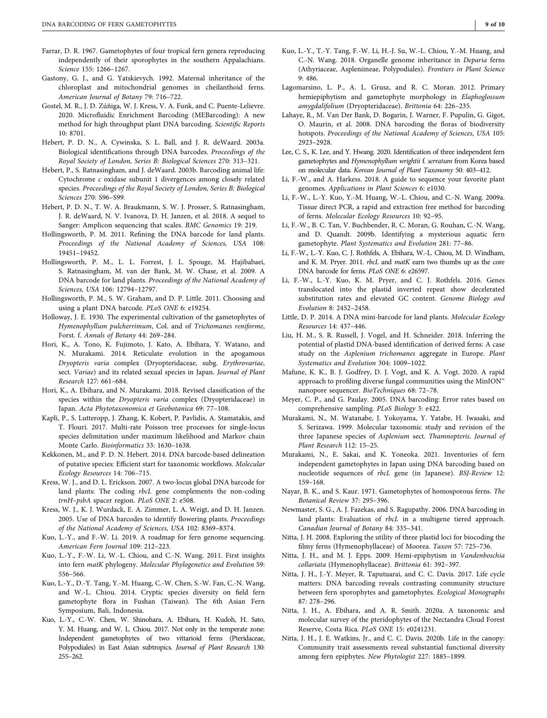- <span id="page-8-29"></span>Farrar, D. R. 1967. Gametophytes of four tropical fern genera reproducing independently of their sporophytes in the southern Appalachians. Science 155: 1266–1267.
- <span id="page-8-26"></span>Gastony, G. J., and G. Yatskievych. 1992. Maternal inheritance of the chloroplast and mitochondrial genomes in cheilanthoid ferns. American Journal of Botany 79: 716–722.
- <span id="page-8-35"></span>Gostel, M. R., J. D. Zúñiga, W. J. Kress, V. A. Funk, and C. Puente‐Lelievre. 2020. Microfluidic Enrichment Barcoding (MEBarcoding): A new method for high throughput plant DNA barcoding. Scientific Reports 10: 8701.
- <span id="page-8-2"></span>Hebert, P. D. N., A. Cywinska, S. L. Ball, and J. R. deWaard. 2003a. Biological identifications through DNA barcodes. Proceedings of the Royal Society of London, Series B: Biological Sciences 270: 313–321.
- <span id="page-8-4"></span>Hebert, P., S. Ratnasingham, and J. deWaard. 2003b. Barcoding animal life: Cytochrome c oxidase subunit 1 divergences among closely related species. Proceedings of the Royal Society of London, Series B: Biological Sciences 270: S96–S99.
- <span id="page-8-36"></span>Hebert, P. D. N., T. W. A. Braukmann, S. W. J. Prosser, S. Ratnasingham, J. R. deWaard, N. V. Ivanova, D. H. Janzen, et al. 2018. A sequel to Sanger: Amplicon sequencing that scales. BMC Genomics 19: 219.
- <span id="page-8-11"></span>Hollingsworth, P. M. 2011. Refining the DNA barcode for land plants. Proceedings of the National Academy of Sciences, USA 108: 19451–19452.
- <span id="page-8-12"></span>Hollingsworth, P. M., L. L. Forrest, J. L. Spouge, M. Hajibabaei, S. Ratnasingham, M. van der Bank, M. W. Chase, et al. 2009. A DNA barcode for land plants. Proceedings of the National Academy of Sciences, USA 106: 12794–12797.
- <span id="page-8-5"></span>Hollingsworth, P. M., S. W. Graham, and D. P. Little. 2011. Choosing and using a plant DNA barcode. PLoS ONE 6: e19254.
- <span id="page-8-34"></span>Holloway, J. E. 1930. The experimental cultivation of the gametophytes of Hymenophyllum pulcherrimum, Col. and of Trichomanes reniforme, Forst. f. Annals of Botany 44: 269–284.
- <span id="page-8-20"></span>Hori, K., A. Tono, K. Fujimoto, J. Kato, A. Ebihara, Y. Watano, and N. Murakami. 2014. Reticulate evolution in the apogamous Dryopteris varia complex (Dryopteridaceae, subg. Erythrovariae, sect. Variae) and its related sexual species in Japan. Journal of Plant Research 127: 661–684.
- <span id="page-8-21"></span>Hori, K., A. Ebihara, and N. Murakami. 2018. Revised classification of the species within the Dryopteris varia complex (Dryopteridaceae) in Japan. Acta Phytotaxonomica et Geobotanica 69: 77–108.
- <span id="page-8-18"></span>Kapli, P., S. Lutteropp, J. Zhang, K. Kobert, P. Pavlidis, A. Stamatakis, and T. Flouri. 2017. Multi‐rate Poisson tree processes for single‐locus species delimitation under maximum likelihood and Markov chain Monte Carlo. Bioinformatics 33: 1630–1638.
- <span id="page-8-17"></span>Kekkonen, M., and P. D. N. Hebert. 2014. DNA barcode‐based delineation of putative species: Efficient start for taxonomic workflows. Molecular Ecology Resources 14: 706–715.
- <span id="page-8-9"></span>Kress, W. J., and D. L. Erickson. 2007. A two-locus global DNA barcode for land plants: The coding rbcL gene complements the non-coding trnH–psbA spacer region. PLoS ONE 2: e508.
- <span id="page-8-7"></span>Kress, W. J., K. J. Wurdack, E. A. Zimmer, L. A. Weigt, and D. H. Janzen. 2005. Use of DNA barcodes to identify flowering plants. Proceedings of the National Academy of Sciences, USA 102: 8369–8374.
- <span id="page-8-39"></span>Kuo, L.‐Y., and F.‐W. Li. 2019. A roadmap for fern genome sequencing. American Fern Journal 109: 212–223.
- <span id="page-8-13"></span>Kuo, L.‐Y., F.‐W. Li, W.‐L. Chiou, and C.‐N. Wang. 2011. First insights into fern matK phylogeny. Molecular Phylogenetics and Evolution 59: 556–566.
- <span id="page-8-31"></span>Kuo, L.‐Y., D.‐Y. Tang, Y.‐M. Huang, C.‐W. Chen, S.‐W. Fan, C.‐N. Wang, and W.‐L. Chiou. 2014. Cryptic species diversity on field fern gametophyte flora in Fushan (Taiwan). The 6th Asian Fern Symposium, Bali, Indonesia.
- <span id="page-8-28"></span>Kuo, L.‐Y., C.‐W. Chen, W. Shinohara, A. Ebihara, H. Kudoh, H. Sato, Y. M. Huang, and W. L. Chiou. 2017. Not only in the temperate zone: Independent gametophytes of two vittarioid ferns (Pteridaceae, Polypodiales) in East Asian subtropics. Journal of Plant Research 130: 255–262.
- <span id="page-8-27"></span>Kuo, L.‐Y., T.‐Y. Tang, F.‐W. Li, H.‐J. Su, W.‐L. Chiou, Y.‐M. Huang, and C.‐N. Wang. 2018. Organelle genome inheritance in Deparia ferns (Athyriaceae, Aspleniineae, Polypodiales). Frontiers in Plant Science 9: 486.
- <span id="page-8-32"></span>Lagomarsino, L. P., A. L. Grusz, and R. C. Moran. 2012. Primary hemiepiphytism and gametophyte morphology in Elaphoglossum amygdalifolium (Dryopteridaceae). Brittonia 64: 226–235.
- <span id="page-8-10"></span>Lahaye, R., M. Van Der Bank, D. Bogarin, J. Warner, F. Pupulin, G. Gigot, O. Maurin, et al. 2008. DNA barcoding the floras of biodiversity hotspots. Proceedings of the National Academy of Sciences, USA 105: 2923–2928.
- <span id="page-8-30"></span>Lee, C. S., K. Lee, and Y. Hwang. 2020. Identification of three independent fern gametophytes and Hymenophyllum wrightii f. serratum from Korea based on molecular data. Korean Journal of Plant Taxonomy 50: 403–412.
- <span id="page-8-38"></span>Li, F.‐W., and A. Harkess. 2018. A guide to sequence your favorite plant genomes. Applications in Plant Sciences 6: e1030.
- <span id="page-8-40"></span>Li, F.‐W., L.‐Y. Kuo, Y.‐M. Huang, W.‐L. Chiou, and C.‐N. Wang. 2009a. Tissue direct PCR, a rapid and extraction free method for barcoding of ferns. Molecular Ecology Resources 10: 92–95.
- <span id="page-8-3"></span>Li, F.‐W., B. C. Tan, V. Buchbender, R. C. Moran, G. Rouhan, C.‐N. Wang, and D. Quandt. 2009b. Identifying a mysterious aquatic fern gametophyte. Plant Systematics and Evolution 281: 77–86.
- <span id="page-8-14"></span>Li, F.‐W., L.‐Y. Kuo, C. J. Rothfels, A. Ebihara, W.‐L. Chiou, M. D. Windham, and K. M. Pryer. 2011. rbcL and matK earn two thumbs up as the core DNA barcode for ferns. PLoS ONE 6: e26597.
- <span id="page-8-15"></span>Li, F.‐W., L.‐Y. Kuo, K. M. Pryer, and C. J. Rothfels. 2016. Genes translocated into the plastid inverted repeat show decelerated substitution rates and elevated GC content. Genome Biology and Evolution 8: 2452–2458.
- Little, D. P. 2014. A DNA mini-barcode for land plants. Molecular Ecology Resources 14: 437–446.
- <span id="page-8-24"></span>Liu, H. M., S. R. Russell, J. Vogel, and H. Schneider. 2018. Inferring the potential of plastid DNA‐based identification of derived ferns: A case study on the Asplenium trichomanes aggregate in Europe. Plant Systematics and Evolution 304: 1009–1022.
- <span id="page-8-37"></span>Mafune, K. K., B. J. Godfrey, D. J. Vogt, and K. A. Vogt. 2020. A rapid approach to profiling diverse fungal communities using the MinION™ nanopore sequencer. BioTechniques 68: 72–78.
- <span id="page-8-22"></span>Meyer, C. P., and G. Paulay. 2005. DNA barcoding: Error rates based on comprehensive sampling. PLoS Biology 3: e422.
- <span id="page-8-19"></span>Murakami, N., M. Watanabe, J. Yokoyama, Y. Yatabe, H. Iwasaki, and S. Serizawa. 1999. Molecular taxonomic study and revision of the three Japanese species of Asplenium sect. Thamnopteris. Journal of Plant Research 112: 15–25.
- <span id="page-8-25"></span>Murakami, N., E. Sakai, and K. Yoneoka. 2021. Inventories of fern independent gametophytes in Japan using DNA barcoding based on nucleotide sequences of rbcL gene (in Japanese). BSJ‐Review 12: 159–168.
- <span id="page-8-0"></span>Nayar, B. K., and S. Kaur. 1971. Gametophytes of homosporous ferns. The Botanical Review 37: 295–396.
- <span id="page-8-8"></span>Newmaster, S. G., A. J. Fazekas, and S. Ragupathy. 2006. DNA barcoding in land plants: Evaluation of rbcL in a multigene tiered approach. Canadian Journal of Botany 84: 335–341.
- <span id="page-8-23"></span>Nitta, J. H. 2008. Exploring the utility of three plastid loci for biocoding the filmy ferns (Hymenophyllaceae) of Moorea. Taxon 57: 725–736.
- <span id="page-8-33"></span>Nitta, J. H., and M. J. Epps. 2009. Hemi‐epiphytism in Vandenboschia collariata (Hymenophyllaceae). Brittonia 61: 392–397.
- <span id="page-8-1"></span>Nitta, J. H., J.‐Y. Meyer, R. Taputuarai, and C. C. Davis. 2017. Life cycle matters: DNA barcoding reveals contrasting community structure between fern sporophytes and gametophytes. Ecological Monographs 87: 278–296.
- <span id="page-8-16"></span>Nitta, J. H., A. Ebihara, and A. R. Smith. 2020a. A taxonomic and molecular survey of the pteridophytes of the Nectandra Cloud Forest Reserve, Costa Rica. PLoS ONE 15: e0241231.
- <span id="page-8-6"></span>Nitta, J. H., J. E. Watkins, Jr., and C. C. Davis. 2020b. Life in the canopy: Community trait assessments reveal substantial functional diversity among fern epiphytes. New Phytologist 227: 1885–1899.